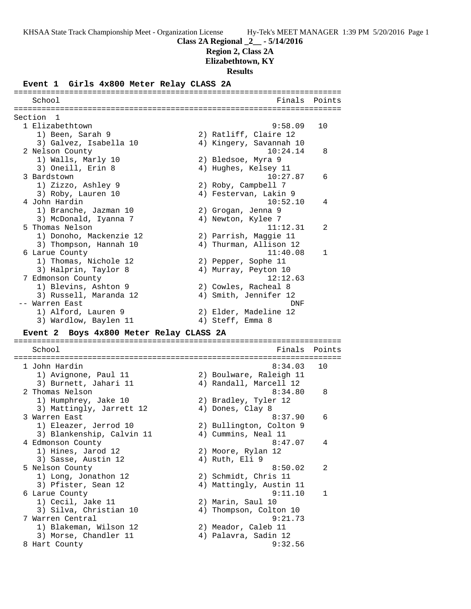**Region 2, Class 2A**

**Elizabethtown, KY**

**Results**

#### **Event 1 Girls 4x800 Meter Relay CLASS 2A**

======================================================================= School **Finals** Points ======================================================================= Section 1 1 Elizabethtown 9:58.09 10 1) Been, Sarah 9 2) Ratliff, Claire 12 3) Galvez, Isabella 10 4) Kingery, Savannah 10 2 Nelson County 10:24.14 8 1) Walls, Marly 10 2) Bledsoe, Myra 9 3) Oneill, Erin 8 4) Hughes, Kelsey 11 3 Bardstown 10:27.87 6 1) Zizzo, Ashley 9 2) Roby, Campbell 7 3) Roby, Lauren 10 4) Festervan, Lakin 9 4 John Hardin 10:52.10 4 1) Branche, Jazman 10 2) Grogan, Jenna 9 3) McDonald, Iyanna 7 (4) Newton, Kylee 7 5 Thomas Nelson 11:12.31 2 1) Donoho, Mackenzie 12 2) Parrish, Maggie 11 3) Thompson, Hannah 10 4) Thurman, Allison 12 6 Larue County 11:40.08 1 1) Thomas, Nichole 12 2) Pepper, Sophe 11 3) Halprin, Taylor 8 (4) Murray, Peyton 10 7 Edmonson County 12:12.63 1) Blevins, Ashton 9 2) Cowles, Racheal 8 3) Russell, Maranda 12 4) Smith, Jennifer 12 -- Warren East DNF 1) Alford, Lauren 9 2) Elder, Madeline 12 3) Wardlow, Baylen 11 (4) Steff, Emma 8 **Event 2 Boys 4x800 Meter Relay CLASS 2A** ======================================================================= School **Finals Points** ======================================================================= 1 John Hardin 8:34.03 10 1) Avignone, Paul 11 2) Boulware, Raleigh 11 3) Burnett, Jahari 11 4) Randall, Marcell 12 2 Thomas Nelson 8:34.80 8 1) Humphrey, Jake 10 2) Bradley, Tyler 12 3) Mattingly, Jarrett 12 (4) Dones, Clay 8 3 Warren East 8:37.90 6 1) Eleazer, Jerrod 10 2) Bullington, Colton 9 3) Blankenship, Calvin 11 (4) Cummins, Neal 11 4 Edmonson County 8:47.07 4 1) Hines, Jarod 12 2) Moore, Rylan 12 3) Sasse, Austin 12 (4) Ruth, Eli 9 5 Nelson County 8:50.02 2 1) Long, Jonathon 12 2) Schmidt, Chris 11 3) Pfister, Sean 12 4) Mattingly, Austin 11 6 Larue County 9:11.10 1 1) Cecil, Jake 11 2) Marin, Saul 10 3) Silva, Christian 10 4) Thompson, Colton 10 7 Warren Central 9:21.73 1) Blakeman, Wilson 12 2) Meador, Caleb 11 3) Morse, Chandler 11 (4) Palavra, Sadin 12 8 Hart County 9:32.56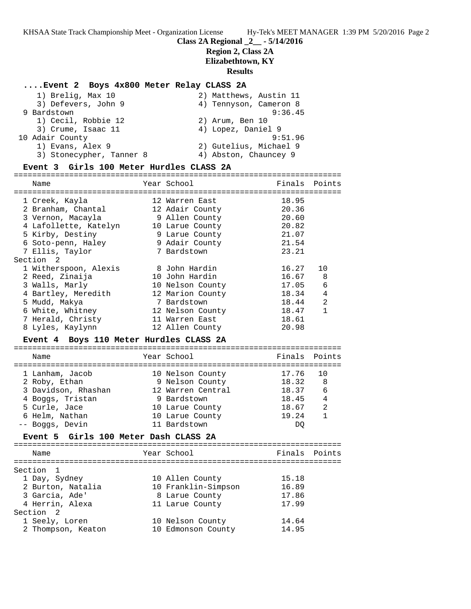### **Class 2A Regional \_2\_\_ - 5/14/2016**

# **Region 2, Class 2A**

**Elizabethtown, KY**

### **Results**

#### **....Event 2 Boys 4x800 Meter Relay CLASS 2A**

| 1) Brelig, Max 10        | 2) Matthews, Austin 11 |
|--------------------------|------------------------|
| 3) Defevers, John 9      | 4) Tennyson, Cameron 8 |
| 9 Bardstown              | 9:36.45                |
| 1) Cecil, Robbie 12      | 2) Arum, Ben 10        |
| 3) Crume, Isaac 11       | 4) Lopez, Daniel 9     |
| 10 Adair County          | 9:51.96                |
| 1) Evans, Alex 9         | 2) Gutelius, Michael 9 |
| 3) Stonecypher, Tanner 8 | 4) Abston, Chauncey 9  |
|                          |                        |

#### **Event 3 Girls 100 Meter Hurdles CLASS 2A** =======================================================================

Name The Year School The Finals Points ======================================================================= 1 Creek, Kayla 12 Warren East 18.95 2 Branham, Chantal 12 Adair County 20.36 3 Vernon, Macayla 9 Allen County 20.60 4 Lafollette, Katelyn 10 Larue County 20.82 5 Kirby, Destiny 9 Larue County 21.07 6 Soto-penn, Haley 9 Adair County 21.54 7 Ellis, Taylor 7 Bardstown 23.21 Section 2 1 Witherspoon, Alexis 8 John Hardin 16.27 10 2 Reed, Zinaija 10 John Hardin 16.67 8 3 Walls, Marly 10 Nelson County 17.05 6 4 Bartley, Meredith 12 Marion County 18.34 4 5 Mudd, Makya 7 Bardstown 18.44 2 6 White, Whitney 12 Nelson County 18.47 1 7 Herald, Christy 11 Warren East 18.61 8 Lyles, Kaylynn 12 Allen County 20.98 **Event 4 Boys 110 Meter Hurdles CLASS 2A** ======================================================================= Name The Year School The Points Points ======================================================================= 1 Lanham, Jacob 10 Nelson County 17.76 10 2 Roby, Ethan 9 Nelson County 18.32 8 3 Davidson, Rhashan 12 Warren Central 18.37 6 4 Boggs, Tristan 9 Bardstown 18.45 4 5 Curle, Jace 10 Larue County 18.67 2 6 Helm, Nathan 10 Larue County 19.24 1 -- Boggs, Devin 11 Bardstown DQ

#### **Event 5 Girls 100 Meter Dash CLASS 2A**

| Name               | Year School         | Finals Points |  |
|--------------------|---------------------|---------------|--|
| Section 1          |                     |               |  |
| 1 Day, Sydney      | 10 Allen County     | 15.18         |  |
| 2 Burton, Natalia  | 10 Franklin-Simpson | 16.89         |  |
| 3 Garcia, Ade'     | 8 Larue County      | 17.86         |  |
| 4 Herrin, Alexa    | 11 Larue County     | 17.99         |  |
| Section 2          |                     |               |  |
| 1 Seely, Loren     | 10 Nelson County    | 14.64         |  |
| 2 Thompson, Keaton | 10 Edmonson County  | 14.95         |  |
|                    |                     |               |  |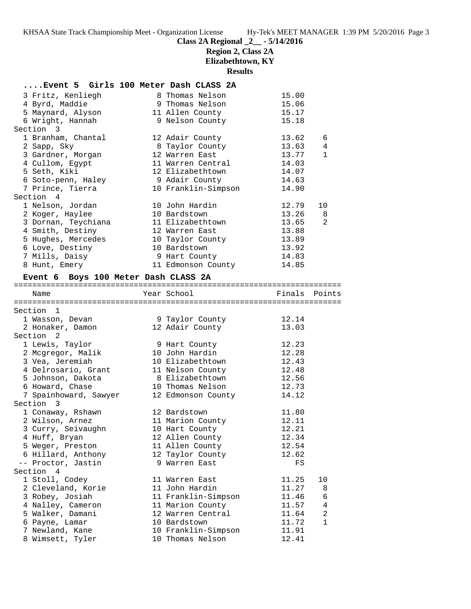# **Class 2A Regional \_2\_\_ - 5/14/2016**

**Region 2, Class 2A**

**Elizabethtown, KY**

**Results**

### **....Event 5 Girls 100 Meter Dash CLASS 2A**

| 3 Fritz, Kenliegh                          | 8 Thomas Nelson                    | 15.00          |                |
|--------------------------------------------|------------------------------------|----------------|----------------|
| 4 Byrd, Maddie                             | 9 Thomas Nelson                    | 15.06          |                |
| 5 Maynard, Alyson<br>6 Wright, Hannah      | 11 Allen County<br>9 Nelson County | 15.17<br>15.18 |                |
| Section 3                                  |                                    |                |                |
| 1 Branham, Chantal                         | 12 Adair County                    | 13.62          | 6              |
| 2 Sapp, Sky                                | 8 Taylor County                    | 13.63          | 4              |
| 3 Gardner, Morgan                          | 12 Warren East                     | 13.77          | $\mathbf{1}$   |
| 4 Cullom, Egypt                            | 11 Warren Central                  | 14.03          |                |
| 5 Seth, Kiki                               | 12 Elizabethtown                   | 14.07          |                |
| 6 Soto-penn, Haley                         | 9 Adair County                     | 14.63          |                |
| 7 Prince, Tierra                           | 10 Franklin-Simpson                | 14.90          |                |
| Section 4                                  |                                    |                |                |
| 1 Nelson, Jordan                           | 10 John Hardin                     | 12.79          | 10             |
| 2 Koger, Haylee                            | 10 Bardstown                       | 13.26          | 8              |
| 3 Dornan, Teychiana                        | 11 Elizabethtown                   | 13.65          | 2              |
| 4 Smith, Destiny                           | 12 Warren East                     | 13.88          |                |
| 5 Hughes, Mercedes                         | 10 Taylor County                   | 13.89          |                |
| 6 Love, Destiny                            | 10 Bardstown                       | 13.92          |                |
| 7 Mills, Daisy                             | 9 Hart County                      | 14.83          |                |
| 8 Hunt, Emery                              | 11 Edmonson County                 | 14.85          |                |
| Event 6 Boys 100 Meter Dash CLASS 2A       |                                    |                |                |
| Name                                       | Year School                        | Finals         | Points         |
|                                            |                                    |                |                |
| Section<br>$\mathbf{1}$<br>1 Wasson, Devan | 9 Taylor County                    | 12.14          |                |
| 2 Honaker, Damon                           | 12 Adair County                    | 13.03          |                |
| Section 2                                  |                                    |                |                |
| 1 Lewis, Taylor                            | 9 Hart County                      | 12.23          |                |
| 2 Mcgregor, Malik                          | 10 John Hardin                     | 12.28          |                |
| 3 Vea, Jeremiah                            | 10 Elizabethtown                   | 12.43          |                |
| 4 Delrosario, Grant                        | 11 Nelson County                   | 12.48          |                |
| 5 Johnson, Dakota                          | 8 Elizabethtown                    | 12.56          |                |
| 6 Howard, Chase                            | 10 Thomas Nelson                   | 12.73          |                |
| 7 Spainhoward, Sawyer                      | 12 Edmonson County                 | 14.12          |                |
| Section 3                                  |                                    |                |                |
| 1 Conaway, Rshawn                          | 12 Bardstown                       | 11.80          |                |
| 2 Wilson, Arnez                            | 11 Marion County                   | 12.11          |                |
| 3 Curry, Seivaughn                         | 10 Hart County                     | 12.21          |                |
| 4 Huff, Bryan                              | 12 Allen County                    | 12.34          |                |
| 5 Weger, Preston                           | 11 Allen County                    | 12.54          |                |
| 6 Hillard, Anthony<br>-- Proctor, Jastin   | 12 Taylor County<br>9 Warren East  | 12.62          |                |
| Section 4                                  |                                    | FS             |                |
| 1 Stoll, Codey                             | 11 Warren East                     | 11.25          | 10             |
| 2 Cleveland, Korie                         | 11 John Hardin                     | 11.27          | 8              |
| 3 Robey, Josiah                            | 11 Franklin-Simpson                | 11.46          | 6              |
| 4 Nalley, Cameron                          | 11 Marion County                   | 11.57          | 4              |
| 5 Walker, Damani                           | 12 Warren Central                  | 11.64          | $\overline{a}$ |
| 6 Payne, Lamar                             | 10 Bardstown                       | 11.72          | $\mathbf{1}$   |
| 7 Newland, Kane                            | 10 Franklin-Simpson                | 11.91          |                |
| 8 Wimsett, Tyler                           | 10 Thomas Nelson                   | 12.41          |                |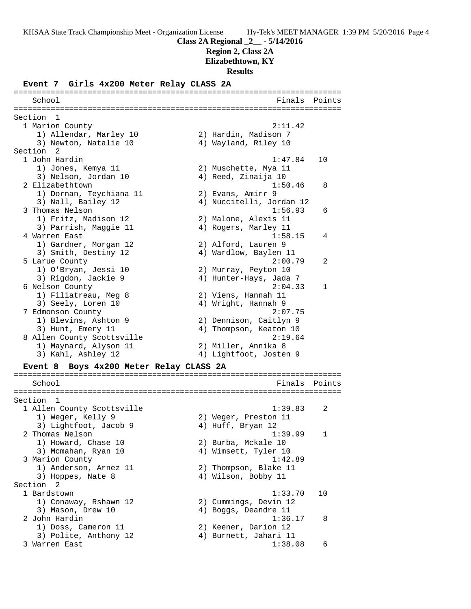**Region 2, Class 2A**

**Elizabethtown, KY**

**Results**

### **Event 7 Girls 4x200 Meter Relay CLASS 2A**

======================================================================= School **Finals Points** ======================================================================= Section 1 1 Marion County 2:11.42 1) Allendar, Marley 10 2) Hardin, Madison 7 3) Newton, Natalie 10  $\hskip1cm$  4) Wayland, Riley 10 Section 2<br>1 John Hardin 1 John Hardin 1:47.84 10 1) Jones, Kemya 11 2) Muschette, Mya 11 3) Nelson, Jordan 10 4) Reed, Zinaija 10 2 Elizabethtown 2 and 2 and 2 and 2 and 2 and 2 and 2 and 2 and 2 and 2 and 2 and 2 and 2 and 2 and 2 and 2 and 2 and 2 and 2 and 2 and 2 and 2 and 2 and 2 and 2 and 2 and 2 and 2 and 2 and 2 and 2 and 2 and 2 and 2 and 2 1) Dornan, Teychiana 11 2) Evans, Amirr 9 3) Nall, Bailey 12 4) Nuccitelli, Jordan 12 3 Thomas Nelson 1:56.93 6 1) Fritz, Madison 12 2) Malone, Alexis 11 3) Parrish, Maggie 11 (4) Rogers, Marley 11 4 Warren East 1:58.15 4 1) Gardner, Morgan 12 2) Alford, Lauren 9 3) Smith, Destiny 12 4) Wardlow, Baylen 11 5 Larue County 2:00.79 2 1) O'Bryan, Jessi 10 2) Murray, Peyton 10 3) Rigdon, Jackie 9 4) Hunter-Hays, Jada 7 6 Nelson County 2:04.33 1 1) Filiatreau, Meg 8 2) Viens, Hannah 11 3) Seely, Loren 10  $\hskip1cm$  4) Wright, Hannah 9 7 Edmonson County 2:07.75 1) Blevins, Ashton 9 2) Dennison, Caitlyn 9 3) Hunt, Emery 11 4) Thompson, Keaton 10 8 Allen County Scottsville 2:19.64 1) Maynard, Alyson 11 2) Miller, Annika 8 3) Kahl, Ashley 12 4) Lightfoot, Josten 9 **Event 8 Boys 4x200 Meter Relay CLASS 2A** ======================================================================= School Finals Points ======================================================================= Section 1 1 Allen County Scottsville 1:39.83 2 1) Weger, Kelly 9 2) Weger, Preston 11 3) Lightfoot, Jacob 9  $\begin{array}{ccc} 4 & 4 & \text{Huff} \end{array}$  Bryan 12 2 Thomas Nelson 1:39.99 1 1) Howard, Chase 10 2) Burba, Mckale 10 3) Mcmahan, Ryan 10 4) Wimsett, Tyler 10 3 Marion County 1:42.89 1) Anderson, Arnez 11 2) Thompson, Blake 11 3) Hoppes, Nate 8 4) Wilson, Bobby 11 Section 2 1 Bardstown 1:33.70 10 1) Conaway, Rshawn 12 2) Cummings, Devin 12 3) Mason, Drew 10  $\hskip1cm \hskip1cm 4$ ) Boggs, Deandre 11 2 John Hardin 1:36.17 8 1) Doss, Cameron 11 2) Keener, Darion 12 3) Polite, Anthony 12 4) Burnett, Jahari 11 3 Warren East 1:38.08 6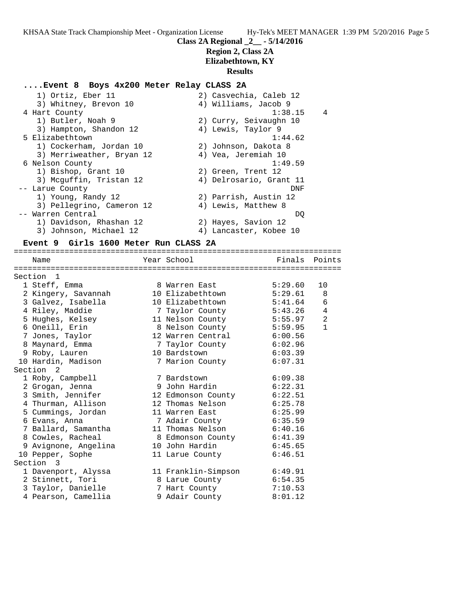### **Region 2, Class 2A Elizabethtown, KY**

## **Results**

### **....Event 8 Boys 4x200 Meter Relay CLASS 2A**

| 1) Ortiz, Eber 11         | 2) Casvechia, Caleb 12    |
|---------------------------|---------------------------|
| 3) Whitney, Brevon 10     | 4) Williams, Jacob 9      |
| 4 Hart County             | $\overline{4}$<br>1:38.15 |
| 1) Butler, Noah 9         | 2) Curry, Seivaughn 10    |
| 3) Hampton, Shandon 12    | 4) Lewis, Taylor 9        |
| 5 Elizabethtown           | 1:44.62                   |
| 1) Cockerham, Jordan 10   | 2) Johnson, Dakota 8      |
| 3) Merriweather, Bryan 12 | 4) Vea, Jeremiah 10       |
| 6 Nelson County           | 1:49.59                   |
| 1) Bishop, Grant 10       | 2) Green, Trent 12        |
| 3) Mcguffin, Tristan 12   | 4) Delrosario, Grant 11   |
| -- Larue County           | DNF                       |
| 1) Young, Randy 12        | 2) Parrish, Austin 12     |
| 3) Pellegrino, Cameron 12 | 4) Lewis, Matthew 8       |
| -- Warren Central         | DO.                       |
| 1) Davidson, Rhashan 12   | 2) Hayes, Savion 12       |
| 3) Johnson, Michael 12    | 4) Lancaster, Kobee 10    |

#### **Event 9 Girls 1600 Meter Run CLASS 2A**

======================================================================= Name The Year School Team Points Points ======================================================================= Section 1 1 Steff, Emma 8 Warren East 5:29.60 10 2 Kingery, Savannah 10 Elizabethtown 5:29.61 8 3 Galvez, Isabella 10 Elizabethtown 5:41.64 6 4 Riley, Maddie 7 Taylor County 5:43.26 4 5 Hughes, Kelsey 11 Nelson County 5:55.97 2 6 Oneill, Erin 8 Nelson County 5:59.95 1 7 Jones, Taylor 12 Warren Central 6:00.56 8 Maynard, Emma 7 Taylor County 6:02.96 9 Roby, Lauren 10 Bardstown 6:03.39 10 Hardin, Madison 7 Marion County 6:07.31 Section 2 1 Roby, Campbell 7 Bardstown 6:09.38 2 Grogan, Jenna 9 John Hardin 6:22.31 3 Smith, Jennifer 12 Edmonson County 6:22.51 4 Thurman, Allison 12 Thomas Nelson 6:25.78 5 Cummings, Jordan 11 Warren East 6:25.99 6 Evans, Anna 7 Adair County 6:35.59 7 Ballard, Samantha 11 Thomas Nelson 6:40.16 8 Cowles, Racheal 8 Edmonson County 6:41.39 9 Avignone, Angelina 10 John Hardin 6:45.65 10 Pepper, Sophe 11 Larue County 6:46.51 Section 3 1 Davenport, Alyssa 11 Franklin-Simpson 6:49.91 2 Stinnett, Tori 8 Larue County 6:54.35 3 Taylor, Danielle 7 Hart County 7:10.53 4 Pearson, Camellia 9 Adair County 8:01.12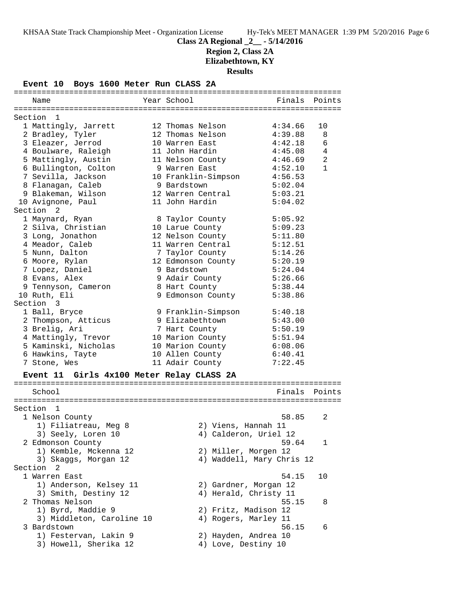# **Class 2A Regional \_2\_\_ - 5/14/2016**

**Region 2, Class 2A**

**Elizabethtown, KY**

**Results**

**Event 10 Boys 1600 Meter Run CLASS 2A**

| Name                                      | Year School          | Finals Points             |                |
|-------------------------------------------|----------------------|---------------------------|----------------|
|                                           |                      |                           |                |
| Section<br>$\mathbf{1}$                   |                      |                           |                |
| 1 Mattingly, Jarrett                      | 12 Thomas Nelson     | 4:34.66                   | 10             |
| 2 Bradley, Tyler                          | 12 Thomas Nelson     | 4:39.88                   | 8              |
| 3 Eleazer, Jerrod                         | 10 Warren East       | 4:42.18                   | 6              |
| 4 Boulware, Raleigh                       | 11 John Hardin       | 4:45.08                   | 4              |
| 5 Mattingly, Austin                       | 11 Nelson County     | 4:46.69                   | $\overline{a}$ |
| 6 Bullington, Colton                      | 9 Warren East        | 4:52.10                   | $\mathbf{1}$   |
| 7 Sevilla, Jackson                        | 10 Franklin-Simpson  | 4:56.53                   |                |
| 8 Flanagan, Caleb                         | 9 Bardstown          | 5:02.04                   |                |
| 9 Blakeman, Wilson                        | 12 Warren Central    | 5:03.21                   |                |
| 10 Avignone, Paul                         | 11 John Hardin       | 5:04.02                   |                |
| Section <sub>2</sub>                      |                      |                           |                |
| 1 Maynard, Ryan                           | 8 Taylor County      | 5:05.92                   |                |
| 2 Silva, Christian                        | 10 Larue County      | 5:09.23                   |                |
| 3 Long, Jonathon                          | 12 Nelson County     | 5:11.80                   |                |
| 4 Meador, Caleb                           | 11 Warren Central    | 5:12.51                   |                |
| 5 Nunn, Dalton                            | 7 Taylor County      | 5:14.26                   |                |
| 6 Moore, Rylan                            | 12 Edmonson County   | 5:20.19                   |                |
| 7 Lopez, Daniel                           | 9 Bardstown          | 5:24.04                   |                |
| 8 Evans, Alex                             | 9 Adair County       | 5:26.66                   |                |
| 9 Tennyson, Cameron                       | 8 Hart County        | 5:38.44                   |                |
| 10 Ruth, Eli                              | 9 Edmonson County    | 5:38.86                   |                |
| Section 3                                 |                      |                           |                |
| 1 Ball, Bryce                             | 9 Franklin-Simpson   | 5:40.18                   |                |
| 2 Thompson, Atticus                       | 9 Elizabethtown      | 5:43.00                   |                |
| 3 Brelig, Ari                             | 7 Hart County        | 5:50.19                   |                |
| 4 Mattingly, Trevor                       | 10 Marion County     | 5:51.94                   |                |
| 5 Kaminski, Nicholas                      |                      | 6:08.06                   |                |
| 6 Hawkins, Tayte                          | 10 Marion County     | 6:40.41                   |                |
|                                           | 10 Allen County      | 7:22.45                   |                |
| 7 Stone, Wes                              | 11 Adair County      |                           |                |
| Event 11 Girls 4x100 Meter Relay CLASS 2A |                      |                           |                |
|                                           |                      |                           |                |
| School                                    |                      | Finals Points             |                |
|                                           |                      |                           |                |
| Section 1                                 |                      |                           |                |
| 1 Nelson County                           |                      | 58.85                     | 2              |
| 1) Filiatreau, Meg 8                      | 2) Viens, Hannah 11  |                           |                |
| 3) Seely, Loren 10                        |                      | 4) Calderon, Uriel 12     |                |
| 2 Edmonson County                         |                      | 59.64                     | 1              |
| 1) Kemble, Mckenna 12                     | 2) Miller, Morgen 12 |                           |                |
| 3) Skaggs, Morgan 12                      |                      | 4) Waddell, Mary Chris 12 |                |
| Section 2                                 |                      |                           |                |
| 1 Warren East                             |                      | 54.15                     | 10             |
| 1) Anderson, Kelsey 11                    |                      | 2) Gardner, Morgan 12     |                |
| 3) Smith, Destiny 12                      |                      | 4) Herald, Christy 11     |                |
| 2 Thomas Nelson                           |                      | 55.15                     | 8              |
| 1) Byrd, Maddie 9                         | 2) Fritz, Madison 12 |                           |                |
| 3) Middleton, Caroline 10                 | 4) Rogers, Marley 11 |                           |                |
| 3 Bardstown                               |                      | 56.15                     | 6              |
| 1) Festervan, Lakin 9                     | 2) Hayden, Andrea 10 |                           |                |
| 3) Howell, Sherika 12                     | 4) Love, Destiny 10  |                           |                |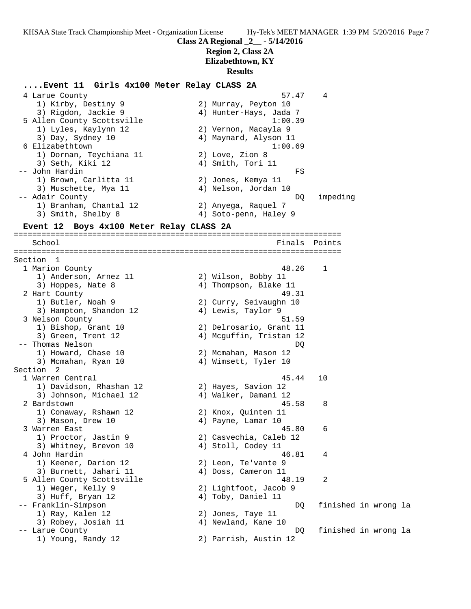**Class 2A Regional \_2\_\_ - 5/14/2016**

### **Region 2, Class 2A Elizabethtown, KY**

### **Results**

### **....Event 11 Girls 4x100 Meter Relay CLASS 2A**

 4 Larue County 57.47 4 1) Kirby, Destiny 9 2) Murray, Peyton 10 3) Rigdon, Jackie 9 4) Hunter-Hays, Jada 7 5 Allen County Scottsville 1:00.39 1) Lyles, Kaylynn 12 2) Vernon, Macayla 9 3) Day, Sydney 10 4) Maynard, Alyson 11 6 Elizabethtown 1:00.69 1) Dornan, Teychiana 11 2) Love, Zion 8 3) Seth, Kiki 12 (4) Smith, Tori 11 -- John Hardin FS 1) Brown, Carlitta 11 2) Jones, Kemya 11 3) Muschette, Mya 11 (4) Nelson, Jordan 10 -- Adair County DQ impeding 1) Branham, Chantal 12 2) Anyega, Raquel 7 3) Smith, Shelby 8 4) Soto-penn, Haley 9 **Event 12 Boys 4x100 Meter Relay CLASS 2A** ======================================================================= School **Finals** Points Points Points Points Points Points Points Points Points Points Points Points Points Points Points Points Points Points Points Points Points Points Points Points Points Points Points Points Points Poi ======================================================================= Section 1<br>1 Marion County 1 Marion County 48.26 1 1) Anderson, Arnez 11 and 2) Wilson, Bobby 11 3) Hoppes, Nate 8 4) Thompson, Blake 11 2 Hart County **49.31**  1) Butler, Noah 9 2) Curry, Seivaughn 10 3) Hampton, Shandon 12 4) Lewis, Taylor 9 3 Nelson County 51.59 1) Bishop, Grant 10 2) Delrosario, Grant 11 3) Green, Trent 12 4) Mcguffin, Tristan 12 -- Thomas Nelson DQ 1) Howard, Chase 10 2) Mcmahan, Mason 12 3) Mcmahan, Ryan 10 4) Wimsett, Tyler 10 Section 2<br>1 Warren Central 1 Warren Central 45.44 10 1) Davidson, Rhashan 12 2) Hayes, Savion 12 3) Johnson, Michael 12 (4) Walker, Damani 12 2 Bardstown 45.58 8 1) Conaway, Rshawn 12 2) Knox, Quinten 11 3) Mason, Drew 10  $4)$  Payne, Lamar 10 3 Warren East 45.80 6 1) Proctor, Jastin 9 2) Casvechia, Caleb 12 3) Whitney, Brevon 10 (4) Stoll, Codey 11 4 John Hardin 46.81 4 1) Keener, Darion 12 2) Leon, Te'vante 9 3) Burnett, Jahari 11 (4) Doss, Cameron 11 5 Allen County Scottsville 48.19 2 1) Weger, Kelly 9 2) Lightfoot, Jacob 9 3) Huff, Bryan 12 4) Toby, Daniel 11 -- Franklin-Simpson DQ finished in wrong la 1) Ray, Kalen 12 2) Jones, Taye 11 3) Robey, Josiah 11 (4) Newland, Kane 10 -- Larue County DQ finished in wrong la 1) Young, Randy 12 2) Parrish, Austin 12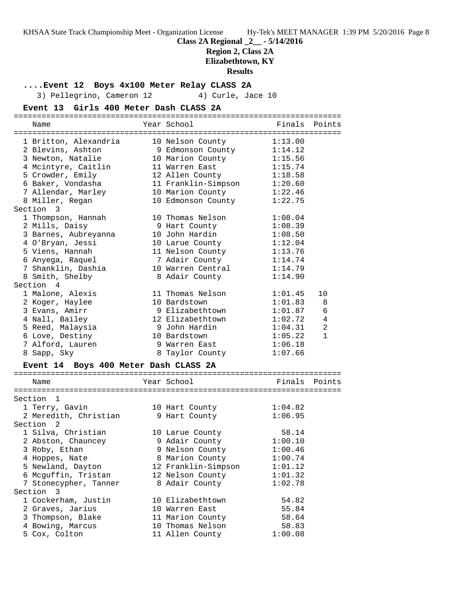**Class 2A Regional \_2\_\_ - 5/14/2016**

### **Region 2, Class 2A**

**Elizabethtown, KY**

### **Results**

**....Event 12 Boys 4x100 Meter Relay CLASS 2A**

3) Pellegrino, Cameron 12 4) Curle, Jace 10

### **Event 13 Girls 400 Meter Dash CLASS 2A**

| Name                                  | Year School                           | Finals  | Points         |
|---------------------------------------|---------------------------------------|---------|----------------|
|                                       |                                       |         |                |
| 1 Britton, Alexandria                 | 10 Nelson County                      | 1:13.00 |                |
| 2 Blevins, Ashton                     | 9 Edmonson County<br>10 Marion County | 1:14.12 |                |
| 3 Newton, Natalie                     |                                       | 1:15.56 |                |
| 4 Mcintyre, Caitlin                   | 11 Warren East                        | 1:15.74 |                |
| 5 Crowder, Emily                      | 12 Allen County                       | 1:18.58 |                |
| 6 Baker, Vondasha                     | 11 Franklin-Simpson                   | 1:20.60 |                |
| 7 Allendar, Marley                    | 10 Marion County                      | 1:22.46 |                |
| 8 Miller, Regan                       | 10 Edmonson County                    | 1:22.75 |                |
| Section 3                             |                                       |         |                |
| 1 Thompson, Hannah                    | 10 Thomas Nelson                      | 1:08.04 |                |
| 2 Mills, Daisy                        | 9 Hart County                         | 1:08.39 |                |
| 3 Barnes, Aubreyanna                  | 10 John Hardin                        | 1:08.50 |                |
| 4 O'Bryan, Jessi                      | 10 Larue County                       | 1:12.04 |                |
| 5 Viens, Hannah                       | 11 Nelson County                      | 1:13.76 |                |
| 6 Anyega, Raquel                      | 7 Adair County                        | 1:14.74 |                |
| 7 Shanklin, Dashia                    | 10 Warren Central                     | 1:14.79 |                |
| 8 Smith, Shelby                       | 8 Adair County                        | 1:14.90 |                |
| Section 4                             |                                       |         |                |
| 1 Malone, Alexis                      | 11 Thomas Nelson                      | 1:01.45 | 10             |
| 2 Koger, Haylee                       | 10 Bardstown                          | 1:01.83 | 8              |
|                                       | 9 Elizabethtown                       | 1:01.87 | 6              |
| 3 Evans, Amirr<br>4 Nall, Bailey      | 12 Elizabethtown                      | 1:02.72 | 4              |
| 5 Reed, Malaysia                      | 9 John Hardin                         | 1:04.31 | $\overline{a}$ |
|                                       |                                       |         |                |
| 6 Love, Destiny                       | 10 Bardstown                          | 1:05.22 | $\mathbf{1}$   |
| 7 Alford, Lauren                      | 9 Warren East                         | 1:06.18 |                |
| 8 Sapp, Sky                           | 8 Taylor County                       | 1:07.66 |                |
| Event 14 Boys 400 Meter Dash CLASS 2A |                                       |         |                |
| Name                                  | Year School                           | Finals  | Points         |
|                                       |                                       |         |                |
| Section 1                             |                                       |         |                |
| 1 Terry, Gavin                        | 10 Hart County                        | 1:04.82 |                |
| 2 Meredith, Christian                 | 9 Hart County                         | 1:06.95 |                |
| Section <sub>2</sub>                  |                                       |         |                |
|                                       |                                       |         |                |
| 1 Silva, Christian                    | 10 Larue County                       | 58.14   |                |
| 2 Abston, Chauncey                    | 9 Adair County                        | 1:00.10 |                |
| 3 Roby, Ethan                         | 9 Nelson County                       | 1:00.46 |                |
| 4 Hoppes, Nate                        | 8 Marion County                       | 1:00.74 |                |
| 5 Newland, Dayton                     | 12 Franklin-Simpson                   | 1:01.12 |                |
| 6 Mcguffin, Tristan                   | 12 Nelson County                      | 1:01.32 |                |
| 7 Stonecypher, Tanner                 | 8 Adair County                        | 1:02.78 |                |
| Section 3                             |                                       |         |                |
| 1 Cockerham, Justin                   | 10 Elizabethtown                      | 54.82   |                |

 2 Graves, Jarius 10 Warren East 55.84 3 Thompson, Blake 11 Marion County 58.64 4 Bowing, Marcus 10 Thomas Nelson 58.83 5 Cox, Colton 11 Allen County 1:00.08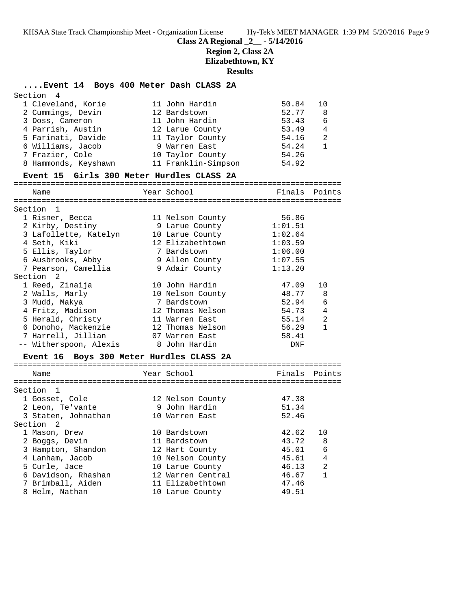**Class 2A Regional \_2\_\_ - 5/14/2016**

**Region 2, Class 2A**

**Elizabethtown, KY**

# **Results**

### **....Event 14 Boys 400 Meter Dash CLASS 2A**

|      |                                                                                                                                                                                                                                                                                                                                                                                                                                                             |                                            |                                                                                                                                                                                                                                                                                                                                                                                                                                                                                                                        | 10                                                                                                                                                                                                                                                                           |
|------|-------------------------------------------------------------------------------------------------------------------------------------------------------------------------------------------------------------------------------------------------------------------------------------------------------------------------------------------------------------------------------------------------------------------------------------------------------------|--------------------------------------------|------------------------------------------------------------------------------------------------------------------------------------------------------------------------------------------------------------------------------------------------------------------------------------------------------------------------------------------------------------------------------------------------------------------------------------------------------------------------------------------------------------------------|------------------------------------------------------------------------------------------------------------------------------------------------------------------------------------------------------------------------------------------------------------------------------|
|      |                                                                                                                                                                                                                                                                                                                                                                                                                                                             |                                            |                                                                                                                                                                                                                                                                                                                                                                                                                                                                                                                        | 8                                                                                                                                                                                                                                                                            |
|      |                                                                                                                                                                                                                                                                                                                                                                                                                                                             |                                            |                                                                                                                                                                                                                                                                                                                                                                                                                                                                                                                        | 6                                                                                                                                                                                                                                                                            |
|      |                                                                                                                                                                                                                                                                                                                                                                                                                                                             |                                            |                                                                                                                                                                                                                                                                                                                                                                                                                                                                                                                        | $\overline{4}$                                                                                                                                                                                                                                                               |
|      |                                                                                                                                                                                                                                                                                                                                                                                                                                                             |                                            |                                                                                                                                                                                                                                                                                                                                                                                                                                                                                                                        | $\overline{2}$                                                                                                                                                                                                                                                               |
|      |                                                                                                                                                                                                                                                                                                                                                                                                                                                             |                                            | 54.24                                                                                                                                                                                                                                                                                                                                                                                                                                                                                                                  | $\mathbf{1}$                                                                                                                                                                                                                                                                 |
|      |                                                                                                                                                                                                                                                                                                                                                                                                                                                             |                                            | 54.26                                                                                                                                                                                                                                                                                                                                                                                                                                                                                                                  |                                                                                                                                                                                                                                                                              |
|      |                                                                                                                                                                                                                                                                                                                                                                                                                                                             |                                            | 54.92                                                                                                                                                                                                                                                                                                                                                                                                                                                                                                                  |                                                                                                                                                                                                                                                                              |
|      |                                                                                                                                                                                                                                                                                                                                                                                                                                                             |                                            |                                                                                                                                                                                                                                                                                                                                                                                                                                                                                                                        |                                                                                                                                                                                                                                                                              |
| Name |                                                                                                                                                                                                                                                                                                                                                                                                                                                             |                                            |                                                                                                                                                                                                                                                                                                                                                                                                                                                                                                                        |                                                                                                                                                                                                                                                                              |
|      |                                                                                                                                                                                                                                                                                                                                                                                                                                                             |                                            |                                                                                                                                                                                                                                                                                                                                                                                                                                                                                                                        |                                                                                                                                                                                                                                                                              |
|      |                                                                                                                                                                                                                                                                                                                                                                                                                                                             |                                            |                                                                                                                                                                                                                                                                                                                                                                                                                                                                                                                        |                                                                                                                                                                                                                                                                              |
|      |                                                                                                                                                                                                                                                                                                                                                                                                                                                             |                                            |                                                                                                                                                                                                                                                                                                                                                                                                                                                                                                                        |                                                                                                                                                                                                                                                                              |
|      |                                                                                                                                                                                                                                                                                                                                                                                                                                                             |                                            |                                                                                                                                                                                                                                                                                                                                                                                                                                                                                                                        |                                                                                                                                                                                                                                                                              |
|      |                                                                                                                                                                                                                                                                                                                                                                                                                                                             |                                            |                                                                                                                                                                                                                                                                                                                                                                                                                                                                                                                        |                                                                                                                                                                                                                                                                              |
|      |                                                                                                                                                                                                                                                                                                                                                                                                                                                             |                                            |                                                                                                                                                                                                                                                                                                                                                                                                                                                                                                                        |                                                                                                                                                                                                                                                                              |
|      |                                                                                                                                                                                                                                                                                                                                                                                                                                                             |                                            |                                                                                                                                                                                                                                                                                                                                                                                                                                                                                                                        |                                                                                                                                                                                                                                                                              |
|      |                                                                                                                                                                                                                                                                                                                                                                                                                                                             |                                            |                                                                                                                                                                                                                                                                                                                                                                                                                                                                                                                        |                                                                                                                                                                                                                                                                              |
|      |                                                                                                                                                                                                                                                                                                                                                                                                                                                             |                                            |                                                                                                                                                                                                                                                                                                                                                                                                                                                                                                                        |                                                                                                                                                                                                                                                                              |
|      |                                                                                                                                                                                                                                                                                                                                                                                                                                                             |                                            |                                                                                                                                                                                                                                                                                                                                                                                                                                                                                                                        | 10                                                                                                                                                                                                                                                                           |
|      |                                                                                                                                                                                                                                                                                                                                                                                                                                                             |                                            |                                                                                                                                                                                                                                                                                                                                                                                                                                                                                                                        | 8                                                                                                                                                                                                                                                                            |
|      |                                                                                                                                                                                                                                                                                                                                                                                                                                                             |                                            |                                                                                                                                                                                                                                                                                                                                                                                                                                                                                                                        | 6                                                                                                                                                                                                                                                                            |
|      |                                                                                                                                                                                                                                                                                                                                                                                                                                                             |                                            |                                                                                                                                                                                                                                                                                                                                                                                                                                                                                                                        | $\overline{4}$                                                                                                                                                                                                                                                               |
|      |                                                                                                                                                                                                                                                                                                                                                                                                                                                             |                                            |                                                                                                                                                                                                                                                                                                                                                                                                                                                                                                                        | $\overline{2}$                                                                                                                                                                                                                                                               |
|      |                                                                                                                                                                                                                                                                                                                                                                                                                                                             |                                            | 56.29                                                                                                                                                                                                                                                                                                                                                                                                                                                                                                                  | $\mathbf{1}$                                                                                                                                                                                                                                                                 |
|      |                                                                                                                                                                                                                                                                                                                                                                                                                                                             |                                            | 58.41                                                                                                                                                                                                                                                                                                                                                                                                                                                                                                                  |                                                                                                                                                                                                                                                                              |
|      |                                                                                                                                                                                                                                                                                                                                                                                                                                                             |                                            | <b>DNF</b>                                                                                                                                                                                                                                                                                                                                                                                                                                                                                                             |                                                                                                                                                                                                                                                                              |
|      | Section 4<br>1 Cleveland, Korie<br>2 Cummings, Devin<br>3 Doss, Cameron<br>6 Williams, Jacob<br>7 Frazier, Cole<br>Section <sub>1</sub><br>1 Risner, Becca<br>2 Kirby, Destiny<br>4 Seth, Kiki<br>5 Ellis, Taylor<br>6 Ausbrooks, Abby<br>7 Pearson, Camellia<br>Section <sub>2</sub><br>1 Reed, Zinaija<br>2 Walls, Marly<br>3 Mudd, Makya<br>4 Fritz, Madison<br>5 Herald, Christy<br>6 Donoho, Mackenzie<br>7 Harrell, Jillian<br>-- Witherspoon, Alexis | 5 Farinati, Davide<br>8 Hammonds, Keyshawn | 11 John Hardin<br>12 Bardstown<br>11 John Hardin<br>4 Parrish, Austin 12 Larue County<br>11 Taylor County<br>9 Warren East<br>10 Taylor County<br>11 Franklin-Simpson<br>Event 15 Girls 300 Meter Hurdles CLASS 2A<br>====================================<br>Year School<br>11 Nelson County<br>9 Larue County<br>12 Elizabethtown<br>7 Bardstown<br>9 Allen County<br>10 John Hardin<br>10 Nelson County<br>7 Bardstown<br>12 Thomas Nelson<br>11 Warren East<br>12 Thomas Nelson<br>07 Warren East<br>8 John Hardin | 50.84<br>52.77<br>53.43<br>53.49<br>54.16<br>------------------------------<br>Finals Points<br>56.86<br>1:01.51<br>3 Lafollette, Katelyn 10 Larue County 1:02.64<br>1:03.59<br>1:06.00<br>1:07.55<br>9 Adair County<br>1:13.20<br>47.09<br>48.77<br>52.94<br>54.73<br>55.14 |

### **Event 16 Boys 300 Meter Hurdles CLASS 2A**

| Name                | Year School       | Finals Points |                |
|---------------------|-------------------|---------------|----------------|
|                     |                   |               |                |
| Section 1           |                   |               |                |
| 1 Gosset, Cole      | 12 Nelson County  | 47.38         |                |
| 2 Leon, Te'vante    | 9 John Hardin     | 51.34         |                |
| 3 Staten, Johnathan | 10 Warren East    | 52.46         |                |
| Section 2           |                   |               |                |
| 1 Mason, Drew       | 10 Bardstown      | 42.62         | 10             |
| 2 Boggs, Devin      | 11 Bardstown      | 43.72         | 8              |
| 3 Hampton, Shandon  | 12 Hart County    | 45.01         | 6              |
| 4 Lanham, Jacob     | 10 Nelson County  | 45.61         | $\overline{4}$ |
| 5 Curle, Jace       | 10 Larue County   | 46.13         | $\mathfrak{D}$ |
| 6 Davidson, Rhashan | 12 Warren Central | 46.67         | 1              |
| 7 Brimball, Aiden   | 11 Elizabethtown  | 47.46         |                |
| 8 Helm, Nathan      | 10 Larue County   | 49.51         |                |
|                     |                   |               |                |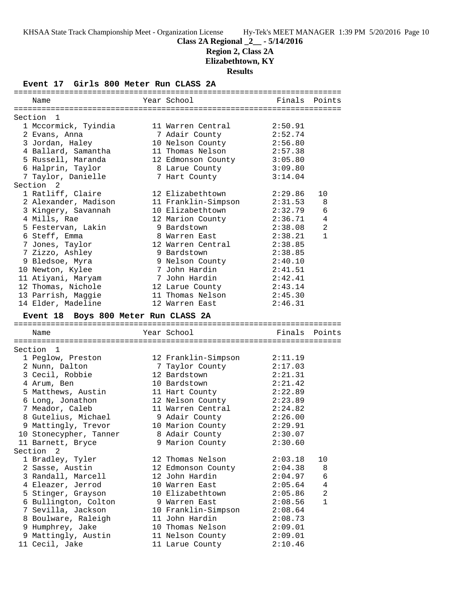# **Class 2A Regional \_2\_\_ - 5/14/2016**

**Region 2, Class 2A**

**Elizabethtown, KY**

**Results**

**Event 17 Girls 800 Meter Run CLASS 2A**

| Name                                  | Year School                         | Finals        | Points         |
|---------------------------------------|-------------------------------------|---------------|----------------|
|                                       |                                     |               |                |
| Section 1                             |                                     |               |                |
| 1 Mccormick, Tyindia                  | 11 Warren Central                   | 2:50.91       |                |
| 2 Evans, Anna                         | 7 Adair County                      | 2:52.74       |                |
| 3 Jordan, Haley                       | 10 Nelson County                    | 2:56.80       |                |
| 4 Ballard, Samantha                   | 11 Thomas Nelson                    | 2:57.38       |                |
| 5 Russell, Maranda                    | 12 Edmonson County                  | 3:05.80       |                |
| 6 Halprin, Taylor                     | 8 Larue County                      | 3:09.80       |                |
| 7 Taylor, Danielle                    | 7 Hart County                       | 3:14.04       |                |
| Section <sub>2</sub>                  |                                     |               |                |
| 1 Ratliff, Claire                     | 12 Elizabethtown                    | 2:29.86       | 10             |
| 2 Alexander, Madison                  | 11 Franklin-Simpson                 | 2:31.53       | 8              |
| 3 Kingery, Savannah                   | 10 Elizabethtown                    | 2:32.79       | 6              |
| 4 Mills, Rae                          | 12 Marion County                    | 2:36.71       | $\overline{4}$ |
| 5 Festervan, Lakin                    | 9 Bardstown                         | 2:38.08       | $\overline{2}$ |
| 6 Steff, Emma                         | 8 Warren East                       | 2:38.21       | $\mathbf{1}$   |
| 7 Jones, Taylor                       | 12 Warren Central                   | 2:38.85       |                |
| 7 Zizzo, Ashley                       | 9 Bardstown                         | 2:38.85       |                |
| 9 Bledsoe, Myra                       | 9 Nelson County                     | 2:40.10       |                |
|                                       | 7 John Hardin                       | 2:41.51       |                |
| 10 Newton, Kylee                      | 7 John Hardin                       | 2:42.41       |                |
| 11 Atiyani, Maryam                    |                                     |               |                |
| 12 Thomas, Nichole                    | 12 Larue County                     | 2:43.14       |                |
| 13 Parrish, Maggie                    | 11 Thomas Nelson                    | 2:45.30       |                |
| 14 Elder, Madeline                    | 12 Warren East                      | 2:46.31       |                |
| Event 18 Boys 800 Meter Run CLASS 2A  |                                     |               |                |
|                                       | Year School                         |               |                |
| Name                                  |                                     | Finals Points |                |
| Section 1                             |                                     |               |                |
|                                       |                                     | 2:11.19       |                |
| 1 Peglow, Preston                     | 12 Franklin-Simpson                 |               |                |
| 2 Nunn, Dalton                        | 7 Taylor County                     | 2:17.03       |                |
| 3 Cecil, Robbie                       | 12 Bardstown                        | 2:21.31       |                |
| 4 Arum, Ben                           | 10 Bardstown                        | 2:21.42       |                |
| 5 Matthews, Austin                    | 11 Hart County                      | 2:22.89       |                |
| 6 Long, Jonathon                      | 12 Nelson County                    | 2:23.89       |                |
| 7 Meador, Caleb                       | 11 Warren Central                   | 2:24.82       |                |
| 8 Gutelius, Michael                   | 9 Adair County                      | 2:26.00       |                |
| 9 Mattingly, Trevor                   | 10 Marion County                    | 2:29.91       |                |
| 10 Stonecypher, Tanner                | 8 Adair County                      | 2:30.07       |                |
| 11 Barnett, Bryce                     | 9 Marion County                     | 2:30.60       |                |
| Section<br>2                          |                                     |               |                |
| 1 Bradley, Tyler                      | 12 Thomas Nelson                    | 2:03.18       | 10             |
| 2 Sasse, Austin                       | 12 Edmonson County                  | 2:04.38       | 8              |
| 3 Randall, Marcell                    | 12 John Hardin                      | 2:04.97       | 6              |
|                                       |                                     |               |                |
| 4 Eleazer, Jerrod                     | 10 Warren East                      | 2:05.64       | 4              |
| 5 Stinger, Grayson                    | 10 Elizabethtown                    | 2:05.86       | 2              |
| 6 Bullington, Colton                  | 9 Warren East                       | 2:08.56       | 1              |
| 7 Sevilla, Jackson                    | 10 Franklin-Simpson                 | 2:08.64       |                |
| 8 Boulware, Raleigh                   | 11 John Hardin                      | 2:08.73       |                |
|                                       | 10 Thomas Nelson                    | 2:09.01       |                |
| 9 Humphrey, Jake                      |                                     | 2:09.01       |                |
| 9 Mattingly, Austin<br>11 Cecil, Jake | 11 Nelson County<br>11 Larue County | 2:10.46       |                |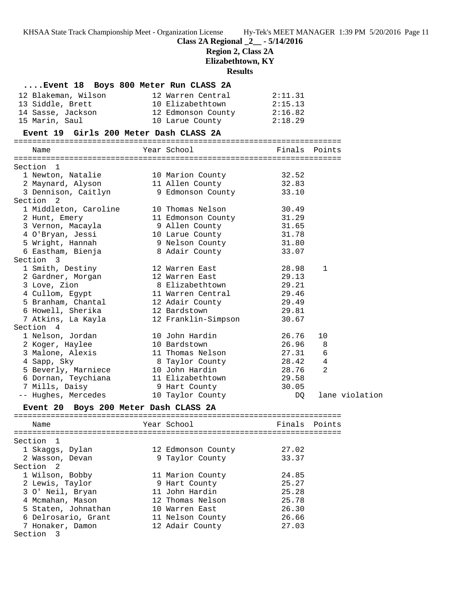**Class 2A Regional \_2\_\_ - 5/14/2016**

**Region 2, Class 2A**

**Elizabethtown, KY**

**Results**

|                                        | Event 18 Boys 800 Meter Run CLASS 2A                |                |                |
|----------------------------------------|-----------------------------------------------------|----------------|----------------|
| 12 Blakeman, Wilson                    | 12 Warren Central                                   | 2:11.31        |                |
| 13 Siddle, Brett                       | 10 Elizabethtown                                    | 2:15.13        |                |
| 14 Sasse, Jackson                      | 12 Edmonson County                                  | 2:16.82        |                |
| 15 Marin, Saul                         | 10 Larue County                                     | 2:18.29        |                |
| Event 19 Girls 200 Meter Dash CLASS 2A |                                                     |                |                |
| Name                                   | Year School                                         | Finals Points  |                |
|                                        |                                                     |                |                |
| Section 1                              |                                                     |                |                |
| 1 Newton, Natalie                      | 10 Marion County 32.52                              |                |                |
| 2 Maynard, Alyson 11 Allen County      |                                                     | 32.83          |                |
| 3 Dennison, Caitlyn                    | 9 Edmonson County                                   | 33.10          |                |
| Section 2                              |                                                     |                |                |
| 1 Middleton, Caroline                  | 10 Thomas Nelson                                    | 30.49          |                |
| 2 Hunt, Emery                          | 11 Edmonson County                                  | 31.29          |                |
| 3 Vernon, Macayla                      | 9 Allen County                                      | 31.65          |                |
| 4 O'Bryan, Jessi                       | 10 Larue County                                     | 31.78          |                |
| 5 Wright, Hannah                       | 9 Nelson County                                     | 31.80          |                |
| 6 Eastham, Bienja                      | 8 Adair County                                      | 33.07          |                |
| Section 3                              |                                                     |                |                |
| 1 Smith, Destiny                       | 12 Warren East                                      | 28.98          | 1              |
| 2 Gardner, Morgan                      | 12 Warren East                                      | 29.13          |                |
| 3 Love, Zion                           | 8 Elizabethtown                                     | 29.21          |                |
| 4 Cullom, Egypt                        | 11 Warren Central                                   | 29.46          |                |
| 5 Branham, Chantal                     | 12 Adair County                                     | 29.49          |                |
| 6 Howell, Sherika                      | 12 Bardstown<br>12 Barustown<br>12 Franklin-Simpson | 29.81          |                |
| 7 Atkins, La Kayla                     |                                                     | 30.67          |                |
| Section 4                              |                                                     |                |                |
| 1 Nelson, Jordan                       | 10 John Hardin<br>10 Bardstown                      | 26.76<br>26.96 | 10<br>8        |
| 2 Koger, Haylee<br>3 Malone, Alexis    | 11 Thomas Nelson                                    | 27.31          | 6              |
| 4 Sapp, Sky                            |                                                     | 28.42          | $\overline{4}$ |
| 5 Beverly, Marniece                    | 8 Taylor County<br>10 John Hardin<br>10 John Hardin | 28.76          | 2              |
| 6 Dornan, Teychiana                    | 11 Elizabethtown                                    | 29.58          |                |
| 7 Mills, Daisy                         | 9 Hart County                                       | 30.05          |                |
| -- Hughes, Mercedes                    | 10 Taylor County                                    | DQ             | lane violation |
| Event 20 Boys 200 Meter Dash CLASS 2A  |                                                     |                |                |
|                                        |                                                     |                |                |
| Name                                   |                                                     |                |                |
|                                        |                                                     |                |                |
| Section<br>- 1                         |                                                     |                |                |
| 1 Skaggs, Dylan                        | 12 Edmonson County                                  | 27.02          |                |
| 2 Wasson, Devan                        | 9 Taylor County                                     | 33.37          |                |
| Section<br>2                           |                                                     |                |                |
| 1 Wilson, Bobby<br>2 Lewis, Taylor     | 11 Marion County                                    | 24.85<br>25.27 |                |
| 3 O' Neil, Bryan                       | 9 Hart County<br>11 John Hardin                     | 25.28          |                |
| 4 Mcmahan, Mason                       | 12 Thomas Nelson                                    | 25.78          |                |
| 5 Staten, Johnathan                    | 10 Warren East                                      | 26.30          |                |
| 6 Delrosario, Grant                    | 11 Nelson County                                    | 26.66          |                |
| 7 Honaker, Damon                       | 12 Adair County                                     | 27.03          |                |
| Section 3                              |                                                     |                |                |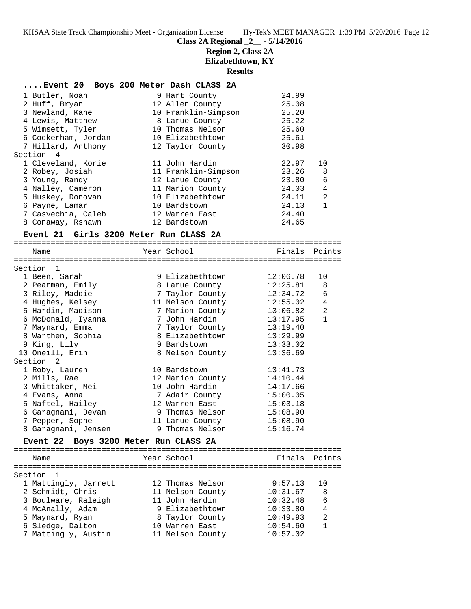# **Class 2A Regional \_2\_\_ - 5/14/2016**

# **Region 2, Class 2A**

**Elizabethtown, KY**

**Results**

### **....Event 20 Boys 200 Meter Dash CLASS 2A**

| 24.99<br>25.08<br>25.20<br>25.22<br>25.60<br>25.61 |              |
|----------------------------------------------------|--------------|
|                                                    |              |
|                                                    |              |
|                                                    |              |
|                                                    |              |
|                                                    |              |
|                                                    |              |
| 30.98                                              |              |
|                                                    |              |
| 22.97                                              | 10           |
| 23.26                                              | - 8          |
| 23.80                                              | 6            |
| 24.03                                              | 4            |
|                                                    | 2            |
| 24.11                                              |              |
| 24.13                                              | $\mathbf{1}$ |
| 24.40                                              |              |
|                                                    |              |

### **Event 21 Girls 3200 Meter Run CLASS 2A**

| Name                                  | Year School      | Finals   | Points         |
|---------------------------------------|------------------|----------|----------------|
|                                       |                  |          |                |
| Section<br>$\overline{1}$             |                  |          |                |
| 1 Been, Sarah                         | 9 Elizabethtown  | 12:06.78 | 10             |
| 2 Pearman, Emily                      | 8 Larue County   | 12:25.81 | 8              |
| 3 Riley, Maddie                       | 7 Taylor County  | 12:34.72 | 6              |
| 4 Hughes, Kelsey                      | 11 Nelson County | 12:55.02 | 4              |
| 5 Hardin, Madison                     | 7 Marion County  | 13:06.82 | $\overline{2}$ |
| 6 McDonald, Iyanna                    | 7 John Hardin    | 13:17.95 | $\mathbf{1}$   |
| 7 Maynard, Emma                       | 7 Taylor County  | 13:19.40 |                |
| 8 Warthen, Sophia                     | 8 Elizabethtown  | 13:29.99 |                |
| 9 King, Lily                          | 9 Bardstown      | 13:33.02 |                |
| 10 Oneill, Erin                       | 8 Nelson County  | 13:36.69 |                |
| Section <sub>2</sub>                  |                  |          |                |
| 1 Roby, Lauren                        | 10 Bardstown     | 13:41.73 |                |
| 2 Mills, Rae                          | 12 Marion County | 14:10.44 |                |
| 3 Whittaker, Mei                      | 10 John Hardin   | 14:17.66 |                |
| 4 Evans, Anna                         | 7 Adair County   | 15:00.05 |                |
| 5 Naftel, Hailey                      | 12 Warren East   | 15:03.18 |                |
| 6 Garagnani, Devan                    | 9 Thomas Nelson  | 15:08.90 |                |
| 7 Pepper, Sophe                       | 11 Larue County  | 15:08.90 |                |
| 8 Garagnani, Jensen                   | 9 Thomas Nelson  | 15:16.74 |                |
| Event 22 Boys 3200 Meter Run CLASS 2A |                  |          |                |
|                                       |                  |          |                |
| Name                                  | Year School      | Finals   | Points         |
| Section 1                             |                  |          |                |
| 1 Mattingly, Jarrett                  | 12 Thomas Nelson | 9:57.13  | 10             |
| 2 Schmidt, Chris                      | 11 Nelson County | 10:31.67 | 8              |
| 3 Boulware, Raleigh                   | 11 John Hardin   | 10:32.48 | 6              |
| 4 McAnally, Adam                      | 9 Elizabethtown  | 10:33.80 | 4              |
| 5 Maynard, Ryan                       | 8 Taylor County  | 10:49.93 | $\overline{a}$ |
| 6 Sledge, Dalton                      | 10 Warren East   | 10:54.60 | $\mathbf{1}$   |
| 7 Mattingly, Austin                   | 11 Nelson County | 10:57.02 |                |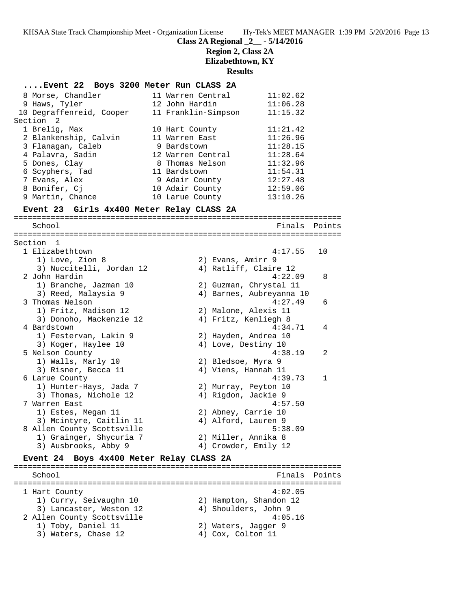### **Class 2A Regional \_2\_\_ - 5/14/2016**

### **Region 2, Class 2A**

**Elizabethtown, KY**

**Results**

#### **....Event 22 Boys 3200 Meter Run CLASS 2A**

|           | 8 Morse, Chandler        |  | 11 Warren Central   | 11:02.62 |  |  |  |  |
|-----------|--------------------------|--|---------------------|----------|--|--|--|--|
|           | 9 Haws, Tyler            |  | 12 John Hardin      | 11:06.28 |  |  |  |  |
|           | 10 Degraffenreid, Cooper |  | 11 Franklin-Simpson | 11:15.32 |  |  |  |  |
| Section 2 |                          |  |                     |          |  |  |  |  |
|           | 1 Brelig, Max            |  | 10 Hart County      | 11:21.42 |  |  |  |  |
|           | 2 Blankenship, Calvin    |  | 11 Warren East      | 11:26.96 |  |  |  |  |
|           | 3 Flanagan, Caleb        |  | 9 Bardstown         | 11:28.15 |  |  |  |  |
|           | 4 Palavra, Sadin         |  | 12 Warren Central   | 11:28.64 |  |  |  |  |
|           | 5 Dones, Clay            |  | 8 Thomas Nelson     | 11:32.96 |  |  |  |  |
|           | 6 Scyphers, Tad          |  | 11 Bardstown        | 11:54.31 |  |  |  |  |
|           | 7 Evans, Alex            |  | 9 Adair County      | 12:27.48 |  |  |  |  |
|           | 8 Bonifer, Cj            |  | 10 Adair County     | 12:59.06 |  |  |  |  |
|           | 9 Martin, Chance         |  | 10 Larue County     | 13:10.26 |  |  |  |  |
|           |                          |  |                     |          |  |  |  |  |

#### **Event 23 Girls 4x400 Meter Relay CLASS 2A**

======================================================================= School Finals Points ======================================================================= Section 1 1 Elizabethtown 4:17.55 10 1) Love, Zion 8 2) Evans, Amirr 9 3) Nuccitelli, Jordan 12 4) Ratliff, Claire 12 2 John Hardin 4:22.09 8 1) Branche, Jazman 10 2) Guzman, Chrystal 11 3) Reed, Malaysia 9 4) Barnes, Aubreyanna 10 3 Thomas Nelson 4:27.49 6 1) Fritz, Madison 12 2) Malone, Alexis 11 3) Donoho, Mackenzie 12  $-$  4) Fritz, Kenliegh 8 4 Bardstown 4:34.71 4 1) Festervan, Lakin 9 2) Hayden, Andrea 10 3) Koger, Haylee 10 (4) Love, Destiny 10 5 Nelson County 4:38.19 2 1) Walls, Marly 10 2) Bledsoe, Myra 9 3) Risner, Becca 11 (4) Viens, Hannah 11 6 Larue County 4:39.73 1 1) Hunter-Hays, Jada 7 2) Murray, Peyton 10 3) Thomas, Nichole 12 4) Rigdon, Jackie 9 7 Warren East 4:57.50 1) Estes, Megan 11 2) Abney, Carrie 10 3) Mcintyre, Caitlin 11  $\qquad \qquad$  4) Alford, Lauren 9 8 Allen County Scottsville 5:38.09 1) Grainger, Shycuria 7 2) Miller, Annika 8 3) Ausbrooks, Abby 9 (4) Crowder, Emily 12 **Event 24 Boys 4x400 Meter Relay CLASS 2A** ======================================================================= School **Finals** Points ======================================================================= 1 Hart County 4:02.05 1) Curry, Seivaughn 10 2) Hampton, Shandon 12 3) Lancaster, Weston 12  $\qquad \qquad$  4) Shoulders, John 9 2 Allen County Scottsville 4:05.16 1) Toby, Daniel 11 2) Waters, Jagger 9 3) Waters, Chase 12 (4) Cox, Colton 11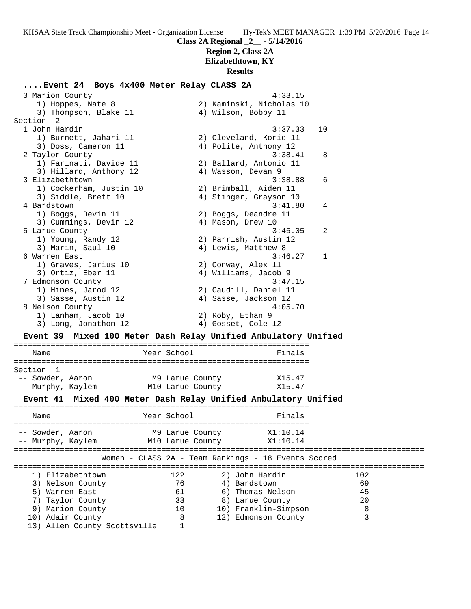**Region 2, Class 2A Elizabethtown, KY**

# **Results**

### **....Event 24 Boys 4x400 Meter Relay CLASS 2A**

| 3 Marion County                                                |                  | 4:33.15                                               |     |
|----------------------------------------------------------------|------------------|-------------------------------------------------------|-----|
| 1) Hoppes, Nate 8                                              |                  | 2) Kaminski, Nicholas 10                              |     |
| 3) Thompson, Blake 11                                          |                  | 4) Wilson, Bobby 11                                   |     |
| Section 2                                                      |                  |                                                       |     |
| 1 John Hardin                                                  |                  | 3:37.33                                               | 10  |
| 1) Burnett, Jahari 11                                          |                  | 2) Cleveland, Korie 11                                |     |
| 3) Doss, Cameron 11                                            |                  | 4) Polite, Anthony 12                                 |     |
| 2 Taylor County                                                |                  | 3:38.41                                               | 8   |
| 1) Farinati, Davide 11                                         |                  | 2) Ballard, Antonio 11                                |     |
|                                                                |                  | 4) Wasson, Devan 9                                    |     |
| 3) Hillard, Anthony 12                                         |                  |                                                       |     |
| 3 Elizabethtown                                                |                  | 3:38.88                                               | 6   |
| 1) Cockerham, Justin 10                                        |                  | 2) Brimball, Aiden 11                                 |     |
| 3) Siddle, Brett 10                                            |                  | 4) Stinger, Grayson 10                                |     |
| 4 Bardstown                                                    |                  | 3:41.80                                               | 4   |
| 1) Boggs, Devin 11                                             |                  | 2) Boggs, Deandre 11                                  |     |
| 3) Cummings, Devin 12                                          |                  | 4) Mason, Drew 10                                     |     |
| 5 Larue County                                                 |                  | 3:45.05                                               | 2   |
| 1) Young, Randy 12                                             |                  | 2) Parrish, Austin 12                                 |     |
| 3) Marin, Saul 10                                              |                  | 4) Lewis, Matthew 8                                   |     |
| 6 Warren East                                                  |                  | 3:46.27                                               | 1   |
| 1) Graves, Jarius 10                                           |                  | 2) Conway, Alex 11                                    |     |
| 3) Ortiz, Eber 11                                              |                  | 4) Williams, Jacob 9                                  |     |
| 7 Edmonson County                                              |                  | 3:47.15                                               |     |
| 1) Hines, Jarod 12                                             |                  | 2) Caudill, Daniel 11                                 |     |
| 3) Sasse, Austin 12                                            |                  | 4) Sasse, Jackson 12                                  |     |
| 8 Nelson County                                                |                  | 4:05.70                                               |     |
| 1) Lanham, Jacob 10                                            |                  | 2) Roby, Ethan 9                                      |     |
| 3) Long, Jonathon 12                                           |                  | 4) Gosset, Cole 12                                    |     |
|                                                                |                  |                                                       |     |
| Event 39 Mixed 100 Meter Dash Relay Unified Ambulatory Unified |                  |                                                       |     |
|                                                                |                  |                                                       |     |
| Name                                                           | Year School      | Finals                                                |     |
| Section 1                                                      |                  |                                                       |     |
| -- Sowder, Aaron                                               |                  |                                                       |     |
|                                                                | M9 Larue County  | X15.47                                                |     |
| -- Murphy, Kaylem                                              | M10 Larue County | X15.47                                                |     |
| <b>Event 41</b>                                                |                  | Mixed 400 Meter Dash Relay Unified Ambulatory Unified |     |
|                                                                |                  |                                                       |     |
| Name                                                           | Year School      | Finals                                                |     |
|                                                                |                  |                                                       |     |
| -- Sowder, Aaron                                               | M9 Larue County  | X1:10.14                                              |     |
| -- Murphy, Kaylem                                              | M10 Larue County | X1:10.14                                              |     |
|                                                                |                  |                                                       |     |
|                                                                |                  | Women - CLASS 2A - Team Rankings - 18 Events Scored   |     |
| 1) Elizabethtown                                               | 122              | 2) John Hardin                                        | 102 |
| 3) Nelson County                                               | 76               | 4) Bardstown                                          | 69  |
|                                                                |                  | 6) Thomas Nelson                                      |     |
| 5) Warren East                                                 | 61               |                                                       | 45  |
| Taylor County<br>7)                                            | 33               | 8) Larue County                                       | 20  |
| 9) Marion County                                               | 10               | 10) Franklin-Simpson                                  | 8   |
| 10) Adair County                                               | 8                | 12) Edmonson County                                   | 3   |
| 13) Allen County Scottsville                                   | 1                |                                                       |     |